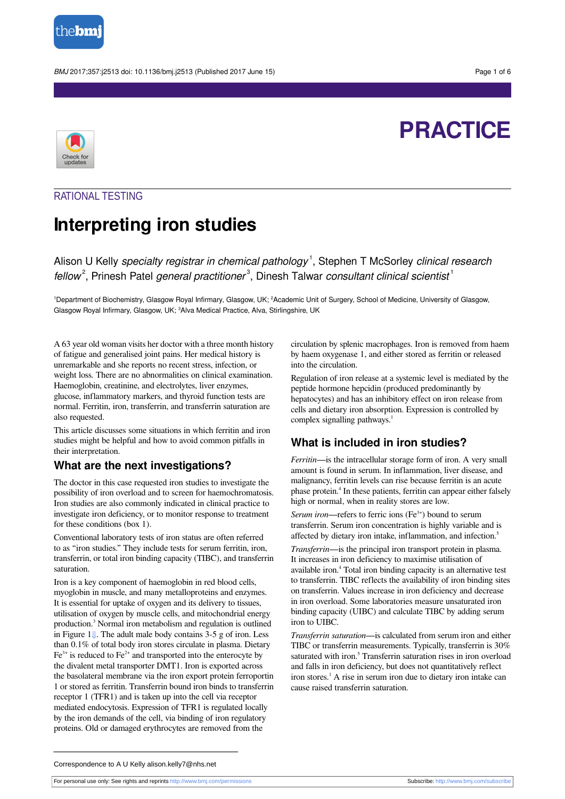

BMJ 2017;357:j2513 doi: 10.1136/bmj.j2513 (Published 2017 June 15) Page 1 of 6



# **PRACTICE**

# RATIONAL TESTING

# **Interpreting iron studies**

Alison U Kelly specialty registrar in chemical pathology<sup>1</sup>, Stephen T McSorley clinical research fellow<sup>2</sup>, Prinesh Patel general practitioner<sup>3</sup>, Dinesh Talwar consultant clinical scientist<sup>1</sup>

<sup>1</sup>Department of Biochemistry, Glasgow Royal Infirmary, Glasgow, UK; <sup>2</sup>Academic Unit of Surgery, School of Medicine, University of Glasgow, Glasgow Royal Infirmary, Glasgow, UK; <sup>3</sup>Alva Medical Practice, Alva, Stirlingshire, UK

A 63 year old woman visits her doctor with a three month history of fatigue and generalised joint pains. Her medical history is unremarkable and she reports no recent stress, infection, or weight loss. There are no abnormalities on clinical examination. Haemoglobin, creatinine, and electrolytes, liver enzymes, glucose, inflammatory markers, and thyroid function tests are normal. Ferritin, iron, transferrin, and transferrin saturation are also requested.

This article discusses some situations in which ferritin and iron studies might be helpful and how to avoid common pitfalls in their interpretation.

# **What are the next investigations?**

The doctor in this case requested iron studies to investigate the possibility of iron overload and to screen for haemochromatosis. Iron studies are also commonly indicated in clinical practice to investigate iron deficiency, or to monitor response to treatment for these conditions (box 1).

Conventional laboratory tests of iron status are often referred to as "iron studies." They include tests for serum ferritin, iron, transferrin, or total iron binding capacity (TIBC), and transferrin saturation.

Iron is a key component of haemoglobin in red blood cells, myoglobin in muscle, and many metalloproteins and enzymes. It is essential for uptake of oxygen and its delivery to tissues, utilisation of oxygen by muscle cells, and mitochondrial energy production. 3 Normal iron metabolism and regulation is outlined in Figure 1[⇓.](#page-5-0) The adult male body contains 3-5 g of iron. Less than 0.1% of total body iron stores circulate in plasma. Dietary  $Fe<sup>3+</sup>$  is reduced to  $Fe<sup>2+</sup>$  and transported into the enterocyte by the divalent metal transporter DMT1. Iron is exported across the basolateral membrane via the iron export protein ferroportin 1 or stored as ferritin. Transferrin bound iron binds to transferrin receptor 1 (TFR1) and is taken up into the cell via receptor mediated endocytosis. Expression of TFR1 is regulated locally by the iron demands of the cell, via binding of iron regulatory proteins. Old or damaged erythrocytes are removed from the

circulation by splenic macrophages. Iron is removed from haem by haem oxygenase 1, and either stored as ferritin or released into the circulation.

Regulation of iron release at a systemic level is mediated by the peptide hormone hepcidin (produced predominantly by hepatocytes) and has an inhibitory effect on iron release from cells and dietary iron absorption. Expression is controlled by complex signalling pathways. 1

# **What is included in iron studies?**

*Ferritin*—is the intracellular storage form of iron. A very small amount is found in serum. In inflammation, liver disease, and malignancy, ferritin levels can rise because ferritin is an acute phase protein. 4 In these patients, ferritin can appear either falsely high or normal, when in reality stores are low.

Serum iron—refers to ferric ions (Fe<sup>3+</sup>) bound to serum transferrin. Serum iron concentration is highly variable and is affected by dietary iron intake, inflammation, and infection. 5

*Transferrin*—is the principal iron transport protein in plasma. It increases in iron deficiency to maximise utilisation of available iron. 4 Total iron binding capacity is an alternative test to transferrin. TIBC reflects the availability of iron binding sites on transferrin. Values increase in iron deficiency and decrease in iron overload. Some laboratories measure unsaturated iron binding capacity (UIBC) and calculate TIBC by adding serum iron to UIBC.

*Transferrin saturation*—is calculated from serum iron and either TIBC or transferrin measurements. Typically, transferrin is 30% saturated with iron.<sup>5</sup> Transferrin saturation rises in iron overload and falls in iron deficiency, but does not quantitatively reflect iron stores. 1 A rise in serum iron due to dietary iron intake can cause raised transferrin saturation.

Correspondence to A U Kelly alison.kelly7@nhs.net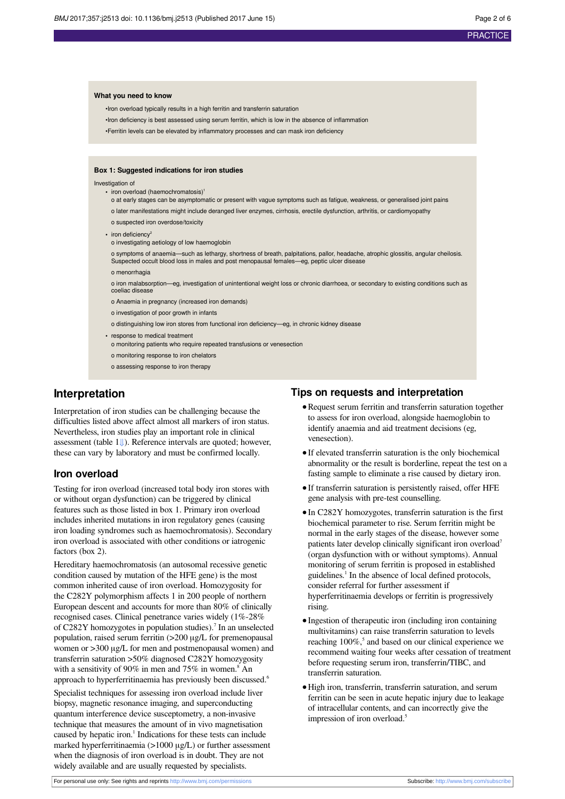#### **What you need to know**

•Iron overload typically results in a high ferritin and transferrin saturation

•Iron deficiency is best assessed using serum ferritin, which is low in the absence of inflammation

•Ferritin levels can be elevated by inflammatory processes and can mask iron deficiency

#### **Box 1: Suggested indications for iron studies**

Investigation of

- iron overload (haemochromatosis)
- o at early stages can be asymptomatic or present with vague symptoms such as fatigue, weakness, or generalised joint pains
- o later manifestations might include deranged liver enzymes, cirrhosis, erectile dysfunction, arthritis, or cardiomyopathy
- o suspected iron overdose/toxicity
- iron deficiency<sup>2</sup>
- o investigating aetiology of low haemoglobin

o symptoms of anaemia—such as lethargy, shortness of breath, palpitations, pallor, headache, atrophic glossitis, angular cheilosis. Suspected occult blood loss in males and post menopausal females—eg, peptic ulcer disease

o menorrhagia

o iron malabsorption—eg, investigation of unintentional weight loss or chronic diarrhoea, or secondary to existing conditions such as coeliac disease

- o Anaemia in pregnancy (increased iron demands)
- o investigation of poor growth in infants
- o distinguishing low iron stores from functional iron deficiency—eg, in chronic kidney disease
- **•** response to medical treatment
- o monitoring patients who require repeated transfusions or venesection
- o monitoring response to iron chelators
- o assessing response to iron therapy

# **Interpretation**

Interpretation of iron studies can be challenging because the difficulties listed above affect almost all markers of iron status. Nevertheless, iron studies play an important role in clinical assessment (table 1[⇓](#page-4-0)). Reference intervals are quoted; however, these can vary by laboratory and must be confirmed locally.

### **Iron overload**

Testing for iron overload (increased total body iron stores with or without organ dysfunction) can be triggered by clinical features such as those listed in box 1. Primary iron overload includes inherited mutations in iron regulatory genes (causing iron loading syndromes such as haemochromatosis). Secondary iron overload is associated with other conditions or iatrogenic factors (box 2).

Hereditary haemochromatosis (an autosomal recessive genetic condition caused by mutation of the HFE gene) is the most common inherited cause of iron overload. Homozygosity for the C282Y polymorphism affects 1 in 200 people of northern European descent and accounts for more than 80% of clinically recognised cases. Clinical penetrance varies widely (1%-28% of C282Y homozygotes in population studies).<sup>7</sup> In an unselected population, raised serum ferritin (>200 μg/L for premenopausal women or >300 μg/L for men and postmenopausal women) and transferrin saturation >50% diagnosed C282Y homozygosity with a sensitivity of 90% in men and 75% in women.<sup>8</sup> An approach to hyperferritinaemia has previously been discussed.<sup>6</sup>

Specialist techniques for assessing iron overload include liver biopsy, magnetic resonance imaging, and superconducting quantum interference device susceptometry, a non-invasive technique that measures the amount of in vivo magnetisation caused by hepatic iron. 1 Indications for these tests can include marked hyperferritinaemia (>1000 μg/L) or further assessment when the diagnosis of iron overload is in doubt. They are not widely available and are usually requested by specialists.

#### **Tips on requests and interpretation**

- **•**Request serum ferritin and transferrin saturation together to assess for iron overload, alongside haemoglobin to identify anaemia and aid treatment decisions (eg, venesection).
- **•**If elevated transferrin saturation is the only biochemical abnormality or the result is borderline, repeat the test on a fasting sample to eliminate a rise caused by dietary iron.
- **•**If transferrin saturation is persistently raised, offer HFE gene analysis with pre-test counselling.
- **•**In C282Y homozygotes, transferrin saturation is the first biochemical parameter to rise. Serum ferritin might be normal in the early stages of the disease, however some patients later develop clinically significant iron overload<sup>7</sup> (organ dysfunction with or without symptoms). Annual monitoring of serum ferritin is proposed in established guidelines. 1 In the absence of local defined protocols, consider referral for further assessment if hyperferritinaemia develops or ferritin is progressively rising.
- **•**Ingestion of therapeutic iron (including iron containing multivitamins) can raise transferrin saturation to levels reaching 100%,<sup>5</sup> and based on our clinical experience we recommend waiting four weeks after cessation of treatment before requesting serum iron, transferrin/TIBC, and transferrin saturation.
- **•**High iron, transferrin, transferrin saturation, and serum ferritin can be seen in acute hepatic injury due to leakage of intracellular contents, and can incorrectly give the impression of iron overload.<sup>5</sup>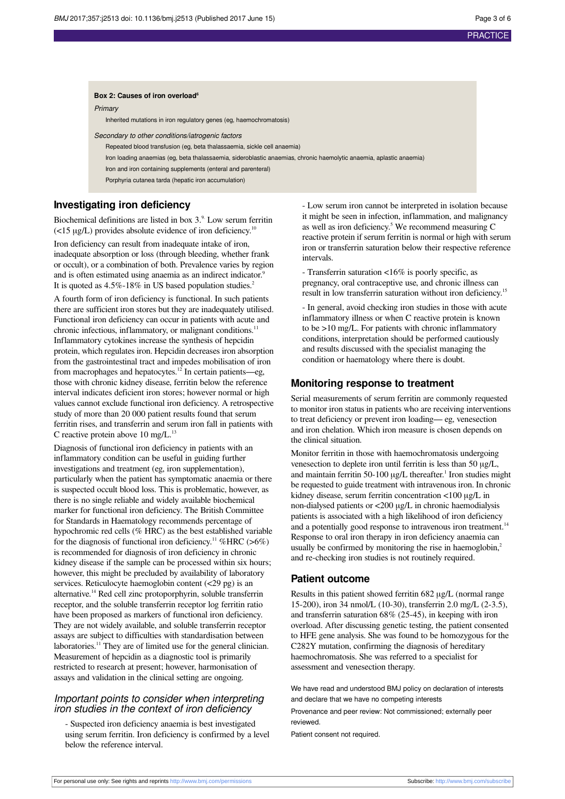#### **Box 2: Causes of iron overload<sup>6</sup>**

Primary

Inherited mutations in iron regulatory genes (eg, haemochromatosis)

Secondary to other conditions/iatrogenic factors

Repeated blood transfusion (eg, beta thalassaemia, sickle cell anaemia)

Iron loading anaemias (eg, beta thalassaemia, sideroblastic anaemias, chronic haemolytic anaemia, aplastic anaemia)

Iron and iron containing supplements (enteral and parenteral)

Porphyria cutanea tarda (hepatic iron accumulation)

# **Investigating iron deficiency**

Biochemical definitions are listed in box  $3<sup>9</sup>$ . Low serum ferritin  $\left($ <15 µg/L) provides absolute evidence of iron deficiency.<sup>10</sup>

Iron deficiency can result from inadequate intake of iron, inadequate absorption or loss (through bleeding, whether frank or occult), or a combination of both. Prevalence varies by region and is often estimated using anaemia as an indirect indicator.<sup>9</sup> It is quoted as 4.5%-18% in US based population studies.<sup>2</sup>

A fourth form of iron deficiency is functional. In such patients there are sufficient iron stores but they are inadequately utilised. Functional iron deficiency can occur in patients with acute and chronic infectious, inflammatory, or malignant conditions.<sup>11</sup> Inflammatory cytokines increase the synthesis of hepcidin protein, which regulates iron. Hepcidin decreases iron absorption from the gastrointestinal tract and impedes mobilisation of iron from macrophages and hepatocytes.<sup>12</sup> In certain patients—eg, those with chronic kidney disease, ferritin below the reference interval indicates deficient iron stores; however normal or high values cannot exclude functional iron deficiency. A retrospective study of more than 20 000 patient results found that serum ferritin rises, and transferrin and serum iron fall in patients with C reactive protein above 10 mg/L. $^{13}$ 

Diagnosis of functional iron deficiency in patients with an inflammatory condition can be useful in guiding further investigations and treatment (eg, iron supplementation), particularly when the patient has symptomatic anaemia or there is suspected occult blood loss. This is problematic, however, as there is no single reliable and widely available biochemical marker for functional iron deficiency. The British Committee for Standards in Haematology recommends percentage of hypochromic red cells (% HRC) as the best established variable for the diagnosis of functional iron deficiency.<sup>11</sup> %HRC (>6%) is recommended for diagnosis of iron deficiency in chronic kidney disease if the sample can be processed within six hours; however, this might be precluded by availability of laboratory services. Reticulocyte haemoglobin content (<29 pg) is an alternative. <sup>14</sup> Red cell zinc protoporphyrin, soluble transferrin receptor, and the soluble transferrin receptor log ferritin ratio have been proposed as markers of functional iron deficiency. They are not widely available, and soluble transferrin receptor assays are subject to difficulties with standardisation between laboratories.<sup>11</sup> They are of limited use for the general clinician. Measurement of hepcidin as a diagnostic tool is primarily restricted to research at present; however, harmonisation of assays and validation in the clinical setting are ongoing.

# Important points to consider when interpreting iron studies in the context of iron deficiency

- Suspected iron deficiency anaemia is best investigated using serum ferritin. Iron deficiency is confirmed by a level below the reference interval.

- Low serum iron cannot be interpreted in isolation because it might be seen in infection, inflammation, and malignancy as well as iron deficiency. 5 We recommend measuring C reactive protein if serum ferritin is normal or high with serum iron or transferrin saturation below their respective reference intervals.

- Transferrin saturation <16% is poorly specific, as pregnancy, oral contraceptive use, and chronic illness can result in low transferrin saturation without iron deficiency.<sup>15</sup>

- In general, avoid checking iron studies in those with acute inflammatory illness or when C reactive protein is known to be >10 mg/L. For patients with chronic inflammatory conditions, interpretation should be performed cautiously and results discussed with the specialist managing the condition or haematology where there is doubt.

# **Monitoring response to treatment**

Serial measurements of serum ferritin are commonly requested to monitor iron status in patients who are receiving interventions to treat deficiency or prevent iron loading— eg, venesection and iron chelation. Which iron measure is chosen depends on the clinical situation.

Monitor ferritin in those with haemochromatosis undergoing venesection to deplete iron until ferritin is less than 50 μg/L, and maintain ferritin 50-100  $\mu$ g/L thereafter.<sup>1</sup> Iron studies might be requested to guide treatment with intravenous iron. In chronic kidney disease, serum ferritin concentration <100 μg/L in non-dialysed patients or <200 μg/L in chronic haemodialysis patients is associated with a high likelihood of iron deficiency and a potentially good response to intravenous iron treatment.<sup>14</sup> Response to oral iron therapy in iron deficiency anaemia can usually be confirmed by monitoring the rise in haemoglobin,<sup>2</sup> and re-checking iron studies is not routinely required.

# **Patient outcome**

Results in this patient showed ferritin 682 μg/L (normal range 15-200), iron 34 nmol/L (10-30), transferrin 2.0 mg/L (2-3.5), and transferrin saturation 68% (25-45), in keeping with iron overload. After discussing genetic testing, the patient consented to HFE gene analysis. She was found to be homozygous for the C282Y mutation, confirming the diagnosis of hereditary haemochromatosis. She was referred to a specialist for assessment and venesection therapy.

We have read and understood BMJ policy on declaration of interests and declare that we have no competing interests

Provenance and peer review: Not commissioned; externally peer reviewed.

Patient consent not required.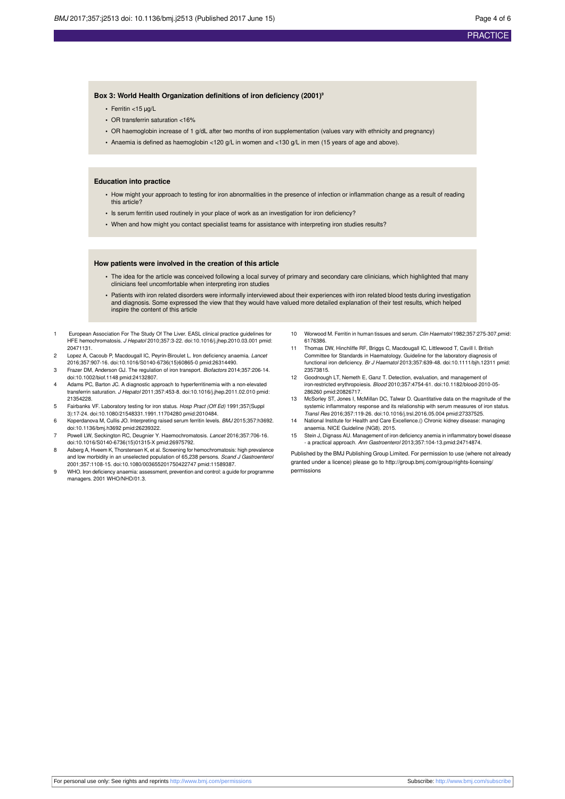#### **PRACTICE**

#### **Box 3: World Health Organization definitions of iron deficiency (2001)<sup>9</sup>**

- **•** Ferritin <15 μg/L
- **•** OR transferrin saturation <16%
- **•** OR haemoglobin increase of 1 g/dL after two months of iron supplementation (values vary with ethnicity and pregnancy)
- **•** Anaemia is defined as haemoglobin <120 g/L in women and <130 g/L in men (15 years of age and above).

#### **Education into practice**

- **•** How might your approach to testing for iron abnormalities in the presence of infection or inflammation change as a result of reading this article?
- **•** Is serum ferritin used routinely in your place of work as an investigation for iron deficiency?
- **•** When and how might you contact specialist teams for assistance with interpreting iron studies results?

#### **How patients were involved in the creation of this article**

- **•** The idea for the article was conceived following a local survey of primary and secondary care clinicians, which highlighted that many clinicians feel uncomfortable when interpreting iron studies
- **•** Patients with iron related disorders were informally interviewed about their experiences with iron related blood tests during investigation and diagnosis. Some expressed the view that they would have valued more detailed explanation of their test results, which helped inspire the content of this article
- 1 European Association For The Study Of The Liver. EASL clinical practice guidelines for HFE hemochromatosis. J Hepatol 2010;357:3-22. [doi:10.1016/j.jhep.2010.03.001](http://dx.doi.org/10.1016/j.jhep.2010.03.001) [pmid:](http://www.ncbi.nlm.nih.gov/pubmed/?term=20471131) [20471131.](http://www.ncbi.nlm.nih.gov/pubmed/?term=20471131)
- 2 Lopez A, Cacoub P, Macdougall IC, Peyrin-Biroulet L, Iron deficiency anaemia, Lancet 2016;357:907-16. [doi:10.1016/S0140-6736\(15\)60865-0](http://dx.doi.org/10.1016/S0140-6736(15)60865-0) [pmid:26314490](http://www.ncbi.nlm.nih.gov/pubmed/?term=26314490).
- 3 Frazer DM, Anderson GJ. The regulation of iron transport. Biofactors 2014;357:206-14. [doi:10.1002/biof.1148](http://dx.doi.org/10.1002/biof.1148) [pmid:24132807.](http://www.ncbi.nlm.nih.gov/pubmed/?term=24132807)
- 4 Adams PC, Barton JC. A diagnostic approach to hyperferritinemia with a non-elevated transferrin saturation. J Hepatol 2011;357:453-8. [doi:10.1016/j.jhep.2011.02.010](http://dx.doi.org/10.1016/j.jhep.2011.02.010) [pmid:](http://www.ncbi.nlm.nih.gov/pubmed/?term=21354228) [21354228.](http://www.ncbi.nlm.nih.gov/pubmed/?term=21354228)
- 5 Fairbanks VF. Laboratory testing for iron status. Hosp Pract (Off Ed) 1991;357(Suppl 3):17-24. [doi:10.1080/21548331.1991.11704280](http://dx.doi.org/10.1080/21548331.1991.11704280) [pmid:2010484.](http://www.ncbi.nlm.nih.gov/pubmed/?term=2010484)
- 6 Koperdanova M, Cullis JO. Interpreting raised serum ferritin levels. BMJ 2015;357:h3692. [doi:10.1136/bmj.h3692](http://dx.doi.org/10.1136/bmj.h3692) [pmid:26239322](http://www.ncbi.nlm.nih.gov/pubmed/?term=26239322).
- 7 Powell LW, Seckington RC, Deugnier Y. Haemochromatosis. Lancet 2016;357:706-16. [doi:10.1016/S0140-6736\(15\)01315-X](http://dx.doi.org/10.1016/S0140-6736(15)01315-X) [pmid:26975792.](http://www.ncbi.nlm.nih.gov/pubmed/?term=26975792)
- 8 Asberg A, Hveem K, Thorstensen K, et al. Screening for hemochromatosis: high prevalence and low morbidity in an unselected population of 65,238 persons. Scand J Gastroenterol 2001;357:1108-15. [doi:10.1080/003655201750422747](http://dx.doi.org/10.1080/003655201750422747) [pmid:11589387](http://www.ncbi.nlm.nih.gov/pubmed/?term=11589387).
- WHO. Iron deficiency anaemia: assessment, prevention and control: a guide for programme managers. 2001 WHO/NHD/01.3.
- 10 Worwood M. Ferritin in human tissues and serum. Clin Haematol 1982;357:275-307.[pmid:](http://www.ncbi.nlm.nih.gov/pubmed/?term=6176386) [6176386.](http://www.ncbi.nlm.nih.gov/pubmed/?term=6176386)
- 11 Thomas DW, Hinchliffe RF, Briggs C, Macdougall IC, Littlewood T, Cavill I. British Committee for Standards in Haematology. Guideline for the laboratory diagnosis of functional iron deficiency. Br J Haematol 2013;357:639-48. [doi:10.1111/bjh.12311](http://dx.doi.org/10.1111/bjh.12311) [pmid:](http://www.ncbi.nlm.nih.gov/pubmed/?term=23573815) [23573815.](http://www.ncbi.nlm.nih.gov/pubmed/?term=23573815)
- 12 Goodnough LT, Nemeth E, Ganz T. Detection, evaluation, and management of iron-restricted erythropoiesis. Blood 2010;357:4754-61. [doi:10.1182/blood-2010-05-](http://dx.doi.org/10.1182/blood-2010-05-286260) [286260](http://dx.doi.org/10.1182/blood-2010-05-286260) [pmid:20826717.](http://www.ncbi.nlm.nih.gov/pubmed/?term=20826717)
- 13 McSorley ST, Jones I, McMillan DC, Talwar D. Quantitative data on the magnitude of the systemic inflammatory response and its relationship with serum measures of iron status. Transl Res 2016;357:119-26. [doi:10.1016/j.trsl.2016.05.004](http://dx.doi.org/10.1016/j.trsl.2016.05.004) [pmid:27337525.](http://www.ncbi.nlm.nih.gov/pubmed/?term=27337525)
- 14 National Institute for Health and Care Excellence.() Chronic kidney disease: managing anaemia. NICE Guideline (NG8). 2015.
- 15 Stein J, Dignass AU. Management of iron deficiency anemia in inflammatory bowel dise - a practical approach. Ann Gastroenterol 2013;357:104-13.[pmid:24714874](http://www.ncbi.nlm.nih.gov/pubmed/?term=24714874).

Published by the BMJ Publishing Group Limited. For permission to use (where not already granted under a licence) please go to [http://group.bmj.com/group/rights-licensing/](http://group.bmj.com/group/rights-licensing/permissions) [permissions](http://group.bmj.com/group/rights-licensing/permissions)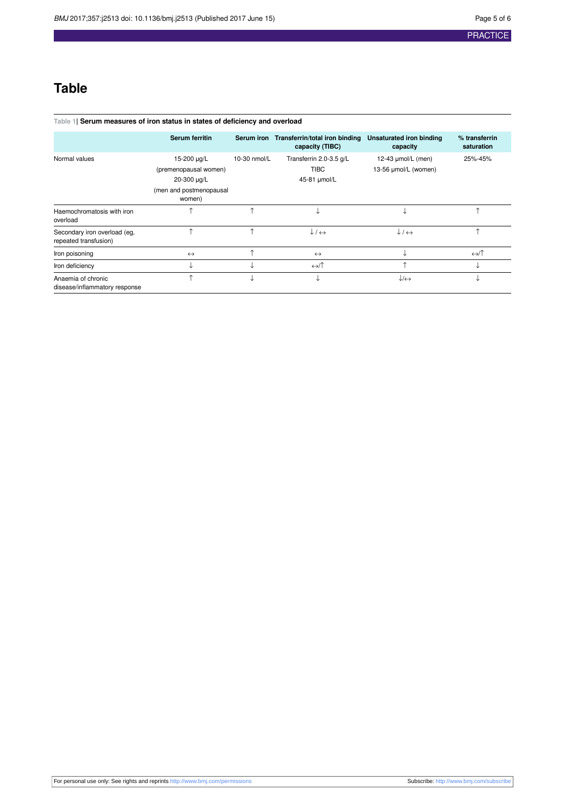# **Table**

### <span id="page-4-0"></span>**Table 1| Serum measures of iron status in states of deficiency and overload**

|                                                       | Serum ferritin                    | <b>Serum iron</b> | Transferrin/total iron binding   | Unsaturated iron binding         | % transferrin     |
|-------------------------------------------------------|-----------------------------------|-------------------|----------------------------------|----------------------------------|-------------------|
|                                                       |                                   |                   | capacity (TIBC)                  | capacity                         | saturation        |
| Normal values                                         | 15-200 µg/L                       | 10-30 nmol/L      | Transferrin 2.0-3.5 g/L          | 12-43 µmol/L (men)               | 25%-45%           |
|                                                       | (premenopausal women)             |                   | <b>TIBC</b>                      | 13-56 µmol/L (women)             |                   |
|                                                       | 20-300 µg/L                       |                   | 45-81 µmol/L                     |                                  |                   |
|                                                       | (men and postmenopausal<br>women) |                   |                                  |                                  |                   |
| Haemochromatosis with iron<br>overload                | ^                                 | ^                 |                                  | ◡                                | ᠰ                 |
| Secondary iron overload (eg,<br>repeated transfusion) | ^                                 | ↑                 | $\downarrow$ / $\leftrightarrow$ | $\downarrow$ / $\leftrightarrow$ | ᠰ                 |
| Iron poisoning                                        | $\leftrightarrow$                 | ^                 | $\leftrightarrow$                |                                  | $\leftrightarrow$ |
| Iron deficiency                                       | ↓                                 | ◡                 | $\leftrightarrow$                | ^                                | ◡                 |
| Anaemia of chronic<br>disease/inflammatory response   | ^                                 | st                |                                  | $\downarrow$ / $\leftrightarrow$ |                   |